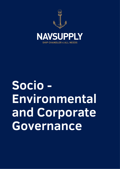

# **Socio - Environmental and Corporate Governance**